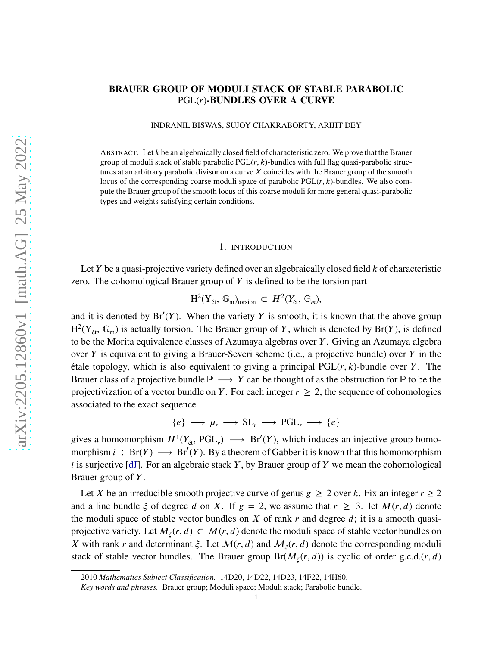# **BRAUER GROUP OF MODULI STACK OF STABLE PARABOLIC** PGL(*𝑟*)**-BUNDLES OVER A CURVE**

INDRANIL BISWAS, SUJOY CHAKRABORTY, ARIJIT DEY

ABSTRACT. Let *k* be an algebraically closed field of characteristic zero. We prove that the Brauer group of moduli stack of stable parabolic  $PGL(r, k)$ -bundles with full flag quasi-parabolic structures at an arbitrary parabolic divisor on a curve X coincides with the Brauer group of the smooth locus of the corresponding coarse moduli space of parabolic PGL(*r*, *k*)-bundles. We also compute the Brauer group of the smooth locus of this coarse moduli for more general quasi-parabolic types and weights satisfying certain conditions.

#### 1. INTRODUCTION

Let *Y* be a quasi-projective variety defined over an algebraically closed field *k* of characteristic zero. The cohomological Brauer group of *Y* is defined to be the torsion part

$$
H^2(Y_{\text{\'et}}, \mathbb{G}_{\text{m}})_{\text{torsion}} \subset H^2(Y_{\text{\'et}}, \mathbb{G}_{\text{m}}),
$$

and it is denoted by  $Br'(Y)$ . When the variety  $Y$  is smooth, it is known that the above group  $H^2(Y_{\text{\'et}}, \mathbb{G}_{\text{m}})$  is actually torsion. The Brauer group of *Y*, which is denoted by Br(*Y*), is defined to be the Morita equivalence classes of Azumaya algebras over *Y*. Giving an Azumaya algebra over *Y* is equivalent to giving a Brauer-Severi scheme (i.e., a projective bundle) over *Y* in the étale topology, which is also equivalent to giving a principal  $PGL(r, k)$ -bundle over *Y*. The Brauer class of a projective bundle  $\mathbb{P} \longrightarrow Y$  can be thought of as the obstruction for  $\mathbb{P}$  to be the projectivization of a vector bundle on *Y*. For each integer  $r \geq 2$ , the sequence of cohomologies associated to the exact sequence

$$
\{e\} \longrightarrow \mu_r \longrightarrow SL_r \longrightarrow PGL_r \longrightarrow \{e\}
$$

gives a homomorphism  $H^1(Y_{\text{\'et}}, \text{PGL}_r) \longrightarrow \text{Br}'(Y)$ , which induces an injective group homomorphism  $i : Br(Y) \longrightarrow Br'(Y)$ . By a theorem of Gabber it is known that this homomorphism *i* is surjective [\[dJ\]](#page-17-0). For an algebraic stack *Y*, by Brauer group of *Y* we mean the cohomological Brauer group of *Y*.

Let *X* be an irreducible smooth projective curve of genus  $g \geq 2$  over *k*. Fix an integer  $r \geq 2$ and a line bundle  $\xi$  of degree *d* on *X*. If  $g = 2$ , we assume that  $r \geq 3$ . let  $M(r, d)$  denote the moduli space of stable vector bundles on  $X$  of rank  $r$  and degree  $d$ ; it is a smooth quasiprojective variety. Let  $M_{\xi}(r, d) \subset M(r, d)$  denote the moduli space of stable vector bundles on *X* with rank *r* and determinant  $\xi$ . Let  $\mathcal{M}(r, d)$  and  $\mathcal{M}_{\xi}(r, d)$  denote the corresponding moduli stack of stable vector bundles. The Brauer group  $Br(M_\xi(r, d))$  is cyclic of order g.c.d. $(r, d)$ 

<sup>2010</sup> *Mathematics Subject Classification.* 14D20, 14D22, 14D23, 14F22, 14H60.

*Key words and phrases.* Brauer group; Moduli space; Moduli stack; Parabolic bundle.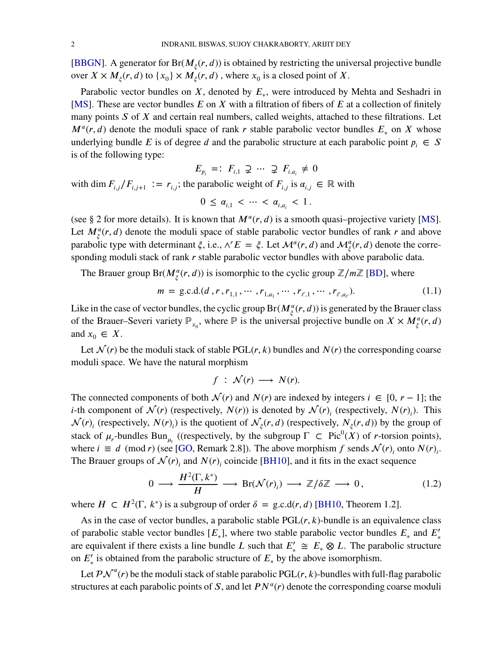[\[BBGN\]](#page-17-1). A generator for  $Br(M_\xi(r, d))$  is obtained by restricting the universal projective bundle over  $X \times M_{\xi}(r, d)$  to  $\{x_0\} \times M_{\xi}(r, d)$ , where  $x_0$  is a closed point of X.

Parabolic vector bundles on *X*, denoted by  $E_*$ , were introduced by Mehta and Seshadri in [\[MS\]](#page-17-2). These are vector bundles *E* on *X* with a filtration of fibers of *E* at a collection of finitely many points *S* of *X* and certain real numbers, called weights, attached to these filtrations. Let  $M^{\alpha}(r, d)$  denote the moduli space of rank *r* stable parabolic vector bundles  $E_*$  on *X* whose underlying bundle *E* is of degree *d* and the parabolic structure at each parabolic point  $p_i \in S$ is of the following type:

 $E_{p_i} =: F_{i,1} \supsetneq ... \supsetneq F_{i,a_i} \neq 0$ 

with dim  $F_{i,j}/F_{i,j+1} := r_{i,j}$ ; the parabolic weight of  $F_{i,j}$  is  $\alpha_{i,j} \in \mathbb{R}$  with

$$
0 \leq \alpha_{i,1} < \cdots < \alpha_{i,a_i} < 1.
$$

(see § 2 for more details). It is known that  $M^{\alpha}(r, d)$  is a smooth quasi-projective variety [\[MS\]](#page-17-2). Let  $M_{\xi}^{\alpha}(r, d)$  denote the moduli space of stable parabolic vector bundles of rank *r* and above parabolic type with determinant  $\xi$ , i.e.,  $\wedge^r E = \xi$ . Let  $\mathcal{M}^{\alpha}(r, d)$  and  $\mathcal{M}^{\alpha}_{\xi}(r, d)$  denote the corresponding moduli stack of rank *r* stable parabolic vector bundles with above parabolic data.

The Brauer group  $Br(M^{\alpha}_{\xi}(r, d))$  is isomorphic to the cyclic group  $\mathbb{Z}/m\mathbb{Z}$  [\[BD\]](#page-17-3), where

$$
m = \text{g.c.d.}(d, r, r_{1,1}, \cdots, r_{1,a_1}, \cdots, r_{\ell,1}, \cdots, r_{\ell,a_\ell}).
$$
\n(1.1)

Like in the case of vector bundles, the cyclic group  $Br(M_\xi^{\alpha}(r,d))$  is generated by the Brauer class of the Brauer–Severi variety  $\mathbb{P}_{x_0}$ , where  $\mathbb{P}$  is the universal projective bundle on  $X \times M_g^{\alpha}(r, d)$ and  $x_0 \in X$ .

Let  $\mathcal{N}(r)$  be the moduli stack of stable PGL( $r, k$ ) bundles and  $N(r)$  the corresponding coarse moduli space. We have the natural morphism

<span id="page-1-1"></span>
$$
f\;:\;\mathcal{N}(r)\;\longrightarrow\;N(r).
$$

The connected components of both  $\mathcal{N}(r)$  and  $N(r)$  are indexed by integers  $i \in [0, r - 1]$ ; the *i*-th component of  $\mathcal{N}(r)$  (respectively,  $N(r)$ ) is denoted by  $\mathcal{N}(r)$ <sub>*i*</sub> (respectively,  $N(r)$ <sub>*i*</sub>). This  $\mathcal{N}(r)$  (respectively,  $N(r)$ ) is the quotient of  $\mathcal{N}_{\xi}(r,d)$  (respectively,  $N_{\xi}(r,d)$ ) by the group of stack of  $\mu_r$ -bundles Bun<sub> $\mu_r$ </sub> ((respectively, by the subgroup  $\Gamma \subset \text{Pic}^0(X)$  of *r*-torsion points), where  $i \equiv d \pmod{r}$  (see [\[GO,](#page-17-4) Remark 2.8]). The above morphism  $f$  sends  $\mathcal{N}(r)_i$  onto  $N(r)_i$ . The Brauer groups of  $\mathcal{N}(r)$  and  $N(r)$  coincide [\[BH10\]](#page-17-5), and it fits in the exact sequence

<span id="page-1-0"></span>
$$
0 \longrightarrow \frac{H^2(\Gamma, k^*)}{H} \longrightarrow \text{Br}(\mathcal{N}(r)_i) \longrightarrow \mathbb{Z}/\delta\mathbb{Z} \longrightarrow 0, \qquad (1.2)
$$

where  $H \subset H^2(\Gamma, k^*)$  is a subgroup of order  $\delta = \text{g.c.d}(r, d)$  [\[BH10,](#page-17-5) Theorem 1.2].

As in the case of vector bundles, a parabolic stable  $PGL(r, k)$ -bundle is an equivalence class of parabolic stable vector bundles  $[E_*]$ , where two stable parabolic vector bundles  $E_*$  and  $E'_*$ are equivalent if there exists a line bundle *L* such that  $E'_{*} \cong E_{*} \otimes L$ . The parabolic structure on  $E'_{*}$  is obtained from the parabolic structure of  $E_{*}$  by the above isomorphism.

Let  $\mathcal{PN}^{\alpha}(r)$  be the moduli stack of stable parabolic PGL $(r, k)$ -bundles with full-flag parabolic structures at each parabolic points of  $S$ , and let  $PN^{\alpha}(r)$  denote the corresponding coarse moduli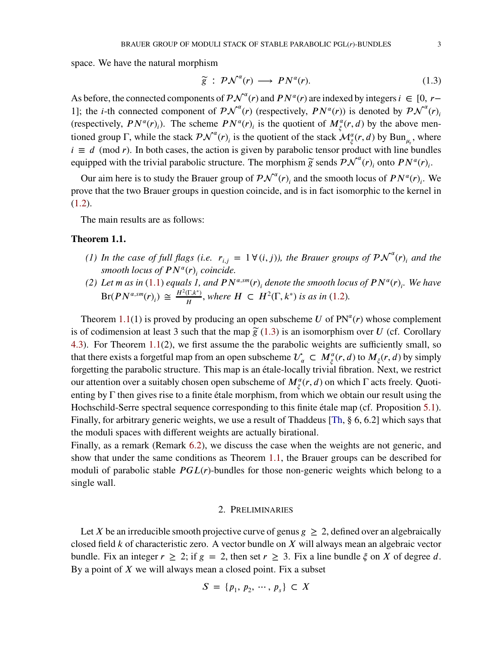space. We have the natural morphism

<span id="page-2-1"></span>
$$
\widetilde{g} : P \mathcal{N}^{\alpha}(r) \longrightarrow P N^{\alpha}(r). \tag{1.3}
$$

As before, the connected components of  $\mathcal{PN}^{\alpha}(r)$  and  $\mathcal{PN}^{\alpha}(r)$  are indexed by integers  $i \in [0, r-\alpha]$ 1]; the *i*-th connected component of  $\mathcal{P} \mathcal{N}^{\alpha}(r)$  (respectively,  $\mathcal{P} \mathcal{N}^{\alpha}(r)$ ) is denoted by  $\mathcal{P} \mathcal{N}^{\alpha}(r)$ <sub>i</sub> (respectively,  $PN^{\alpha}(r)$ ). The scheme  $PN^{\alpha}(r)$  is the quotient of  $M^{\alpha}_{\xi}(r, d)$  by the above mentioned group  $\Gamma$ , while the stack  $\mathcal{PN}^{\alpha}(r)$  is the quotient of the stack  $\mathcal{M}_{\xi}^{\alpha}(r, d)$  by Bun<sub> $\mu_r$ </sub>, where  $i \equiv d \pmod{r}$ . In both cases, the action is given by parabolic tensor product with line bundles equipped with the trivial parabolic structure. The morphism  $\widetilde{g}$  sends  $\mathcal{PN}^{\alpha}(r)$ <sub>*i*</sub> onto  $PN^{\alpha}(r)$ <sub>*i*</sub>.

Our aim here is to study the Brauer group of  $\mathcal{PN}^{\alpha}(r)$  and the smooth locus of  $PN^{\alpha}(r)$ . We prove that the two Brauer groups in question coincide, and is in fact isomorphic to the kernel in  $(1.2).$  $(1.2).$ 

The main results are as follows:

#### <span id="page-2-0"></span>**Theorem 1.1.**

- *(1) In the case of full flags (i.e.*  $r_{i,j} = 1 \forall (i,j)$ ), the Brauer groups of  $\mathcal{PN}^{\alpha}(r)$ <sub>*i*</sub> and the *smooth locus of*  $PN^{\alpha}(r)$ <sub>*i*</sub> coincide.
- (2) Let *m* as in [\(1.1\)](#page-1-1) equals 1, and  $PN^{\alpha,sm}(r)$  denote the smooth locus of  $PN^{\alpha}(r)$ . We have  $Br(PN^{\alpha,sm}(r)_i) \cong \frac{H^2(\Gamma,k^*)}{H}$  $\frac{d(\Gamma, k^*)}{H}$ , where  $H \subset H^2(\Gamma, k^*)$  *is as in* [\(1.2\)](#page-1-0).

Theorem [1.1\(](#page-2-0)1) is proved by producing an open subscheme *U* of  $PN^{\alpha}(r)$  whose complement is of codimension at least 3 such that the map  $\tilde{g}(1.3)$  $\tilde{g}(1.3)$  is an isomorphism over *U* (cf. Corollary [4.3\)](#page-12-0). For Theorem [1.1\(](#page-2-0)2), we first assume the the parabolic weights are sufficiently small, so that there exists a forgetful map from an open subscheme  $\mathcal{U}_\alpha \subset M_\xi^\alpha(r, d)$  to  $M_\xi(r, d)$  by simply forgetting the parabolic structure. This map is an étale-locally trivial fibration. Next, we restrict our attention over a suitably chosen open subscheme of  $M_\xi^\alpha(r, d)$  on which Γ acts freely. Quotienting by Γ then gives rise to a finite étale morphism, from which we obtain our result using the Hochschild-Serre spectral sequence corresponding to this finite étale map (cf. Proposition [5.1\)](#page-13-0). Finally, for arbitrary generic weights, we use a result of Thaddeus [\[Th,](#page-17-6) § 6, 6.2] which says that the moduli spaces with different weights are actually birational.

Finally, as a remark (Remark [6.2\)](#page-16-0), we discuss the case when the weights are not generic, and show that under the same conditions as Theorem [1.1,](#page-2-0) the Brauer groups can be described for moduli of parabolic stable *PGL*(*r*)-bundles for those non-generic weights which belong to a single wall.

### 2. PRELIMINARIES

<span id="page-2-2"></span>Let X be an irreducible smooth projective curve of genus  $g \geq 2$ , defined over an algebraically closed field *k* of characteristic zero. A vector bundle on *X* will always mean an algebraic vector bundle. Fix an integer  $r \geq 2$ ; if  $g = 2$ , then set  $r \geq 3$ . Fix a line bundle  $\xi$  on X of degree d. By a point of *X* we will always mean a closed point. Fix a subset

$$
S = \{p_1, p_2, \cdots, p_s\} \subset X
$$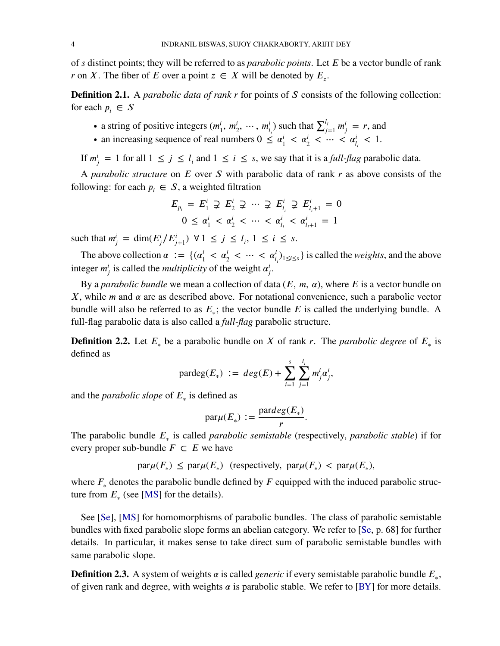of *𝑠* distinct points; they will be referred to as *parabolic points*. Let *𝐸* be a vector bundle of rank *r* on *X*. The fiber of *E* over a point  $z \in X$  will be denoted by  $E_z$ .

<span id="page-3-0"></span>**Definition 2.1.** A *parabolic data of rank r* for points of *S* consists of the following collection: for each  $p_i \in S$ 

- a string of positive integers ( $m_1^i$  $i_1^i$ ,  $m_2^i$ ,  $\cdots$ ,  $m_{l_i}^i$ ) such that  $\sum_{j=1}^{l_i} m_j^i = r$ , and
- an increasing sequence of real numbers  $0 \leq \alpha_1^i$  $\frac{i}{1} < \alpha_2^i < \dots < \alpha_{l_i}^i < 1.$

If  $m_j^i = 1$  for all  $1 \le j \le l_i$  and  $1 \le i \le s$ , we say that it is a *full-flag* parabolic data.

A *parabolic structure* on *E* over *S* with parabolic data of rank *r* as above consists of the following: for each  $p_i \in S$ , a weighted filtration

$$
E_{p_i} = E_1^i \supsetneq E_2^i \supsetneq \dots \supsetneq E_{l_i}^i \supsetneq E_{l_i+1}^i = 0
$$
  

$$
0 \le \alpha_1^i < \alpha_2^i < \dots < \alpha_{l_i}^i < \alpha_{l_i+1}^i = 1
$$

 $\text{such that } m^i_j = \dim(E^i_j/E^i_{j+1}) \ \forall 1 \leq j \leq l_i, \ 1 \leq i \leq s.$ 

The above collection  $\alpha := \{(\alpha_1^i)$  $\frac{a_1}{1} < \alpha_2^i < \cdots < \alpha_{l_i}^i$ <sub>1  $\le i \le s$ </sub> is called the *weights*, and the above integer  $m_j^i$  is called the *multiplicity* of the weight  $\alpha_j^i$ *i*<br>j •

By a *parabolic bundle* we mean a collection of data  $(E, m, \alpha)$ , where  $E$  is a vector bundle on  $X$ , while *m* and  $\alpha$  are as described above. For notational convenience, such a parabolic vector bundle will also be referred to as  $E_*$ ; the vector bundle  $E$  is called the underlying bundle. A full-flag parabolic data is also called a *full-flag* parabolic structure.

**Definition 2.2.** Let  $E_*$  be a parabolic bundle on *X* of rank *r*. The *parabolic degree* of  $E_*$  is defined as

$$
\text{pardeg}(E_*) := deg(E) + \sum_{i=1}^s \sum_{j=1}^{l_i} m_j^i \alpha_j^i,
$$

and the *parabolic slope* of  $E_*$  is defined as

$$
\operatorname{par} \mu(E_*) := \frac{\operatorname{par} deg(E_*)}{r}.
$$

The parabolic bundle *𝐸*<sup>∗</sup> is called *parabolic semistable* (respectively, *parabolic stable*) if for every proper sub-bundle  $F \subset E$  we have

$$
\text{par}\mu(F_*) \le \text{par}\mu(E_*) \text{ (respectively, } \text{par}\mu(F_*) < \text{par}\mu(E_*),
$$

where  $F_*$  denotes the parabolic bundle defined by  $F$  equipped with the induced parabolic structure from  $E_*$  (see [\[MS\]](#page-17-2) for the details).

See [\[Se\]](#page-17-7), [\[MS\]](#page-17-2) for homomorphisms of parabolic bundles. The class of parabolic semistable bundles with fixed parabolic slope forms an abelian category. We refer to [\[Se,](#page-17-7) p. 68] for further details. In particular, it makes sense to take direct sum of parabolic semistable bundles with same parabolic slope.

**Definition 2.3.** A system of weights  $\alpha$  is called *generic* if every semistable parabolic bundle  $E_*$ , of given rank and degree, with weights  $\alpha$  is parabolic stable. We refer to [\[BY\]](#page-17-8) for more details.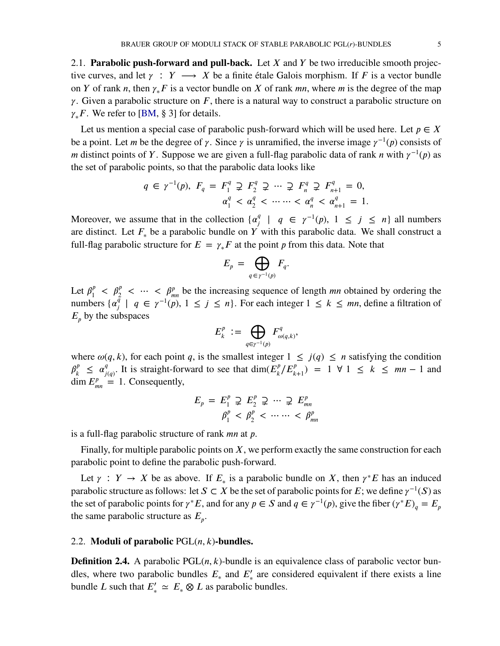<span id="page-4-0"></span>2.1. **Parabolic push-forward and pull-back.** Let *X* and *Y* be two irreducible smooth projective curves, and let  $\gamma$  :  $Y \longrightarrow X$  be a finite étale Galois morphism. If *F* is a vector bundle on *Y* of rank *n*, then  $\gamma_* F$  is a vector bundle on *X* of rank *mn*, where *m* is the degree of the map  $\gamma$ . Given a parabolic structure on *F*, there is a natural way to construct a parabolic structure on *Y*<sub>∗</sub>*F*. We refer to [\[BM,](#page-17-9) § 3] for details.

Let us mention a special case of parabolic push-forward which will be used here. Let  $p \in X$ be a point. Let *m* be the degree of  $\gamma$ . Since  $\gamma$  is unramified, the inverse image  $\gamma^{-1}(p)$  consists of *m* distinct points of *Y*. Suppose we are given a full-flag parabolic data of rank *n* with  $\gamma^{-1}(p)$  as the set of parabolic points, so that the parabolic data looks like

$$
q \in \gamma^{-1}(p), \ F_q = F_1^q \supsetneq F_2^q \supsetneq \cdots \supsetneq F_n^q \supsetneq F_{n+1}^q = 0,
$$
  

$$
\alpha_1^q < \alpha_2^q < \cdots \cdots < \alpha_n^q < \alpha_{n+1}^q = 1.
$$

Moreover, we assume that in the collection  $\{\alpha_i^q\}$  $\frac{q}{j}$  | *q* ∈  $\gamma^{-1}(p)$ , 1 ≤ *j* ≤ *n*} all numbers are distinct. Let  $F_*$  be a parabolic bundle on *Y* with this parabolic data. We shall construct a full-flag parabolic structure for  $E = \gamma_* F$  at the point *p* from this data. Note that

$$
E_p = \bigoplus_{q \in \gamma^{-1}(p)} F_q.
$$

Let  $\beta_1^p$  $\frac{p}{1}$  <  $\beta_2^p$  <  $\cdots$  <  $\beta_{mn}^p$  be the increasing sequence of length *mn* obtained by ordering the numbers  $\{\alpha_i^{\bar{q}}\}$  $\gamma^q$  | *q* ∈  $\gamma^{-1}(p)$ , 1 ≤ *j* ≤ *n*}. For each integer 1 ≤ *k* ≤ *mn*, define a filtration of  $E_p$  by the subspaces

$$
E_k^p := \bigoplus_{q \in \gamma^{-1}(p)} F_{\omega(q,k)}^q,
$$

where  $\omega(q, k)$ , for each point *q*, is the smallest integer  $1 \leq j(q) \leq n$  satisfying the condition  $\beta_{\iota}^p$  $\alpha_j^p \leq \alpha_j^q$  $\frac{q}{j(q)}$ . It is straight-forward to see that dim( $E_k^p$  $\binom{p}{k} E_{k+1}^p = 1 \ \forall \ 1 \leq k \leq mn - 1$  and  $\dim E_{mn}^p = 1$ . Consequently,

$$
E_p = E_1^p \supsetneq E_2^p \supsetneq \cdots \supsetneq E_{mn}^p
$$
  

$$
\beta_1^p < \beta_2^p < \cdots \cdots < \beta_{mn}^p
$$

is a full-flag parabolic structure of rank *mn* at *p*.

Finally, for multiple parabolic points on *X*, we perform exactly the same construction for each parabolic point to define the parabolic push-forward.

Let  $\gamma$  :  $Y \to X$  be as above. If  $E_*$  is a parabolic bundle on X, then  $\gamma^* E$  has an induced parabolic structure as follows: let  $S \subset X$  be the set of parabolic points for  $E$ ; we define  $\gamma^{-1}(S)$  as the set of parabolic points for  $\gamma^* E$ , and for any  $p \in S$  and  $q \in \gamma^{-1}(p)$ , give the fiber  $(\gamma^* E)_q = E_p$ the same parabolic structure as  $E_p$ .

### 2.2. **Moduli of parabolic**  $PGL(n, k)$ **-bundles.**

**Definition 2.4.** A parabolic  $PGL(n, k)$ -bundle is an equivalence class of parabolic vector bundles, where two parabolic bundles  $E_*$  and  $E'_*$  are considered equivalent if there exists a line bundle *L* such that  $E'_{*} \simeq E_{*} \otimes L$  as parabolic bundles.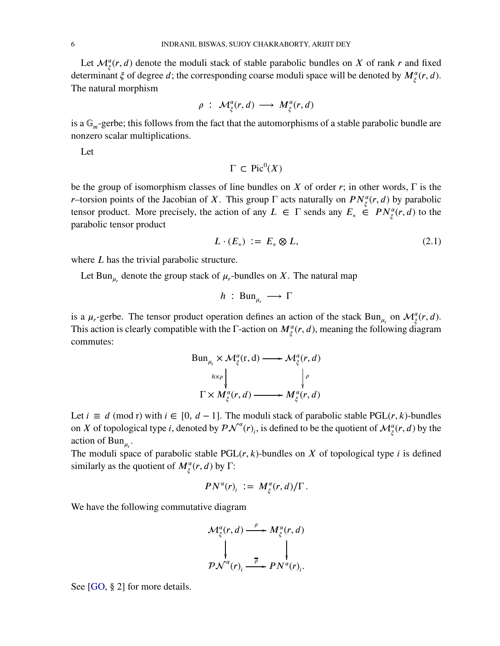Let  $\mathcal{M}_{\xi}^{\alpha}(r, d)$  denote the moduli stack of stable parabolic bundles on *X* of rank *r* and fixed determinant  $\xi$  of degree *d*; the corresponding coarse moduli space will be denoted by  $M_{\xi}^{\alpha}(r, d)$ . The natural morphism

$$
\rho : M_{\xi}^{\alpha}(r,d) \longrightarrow M_{\xi}^{\alpha}(r,d)
$$

is a  $\mathbb{G}_m$ -gerbe; this follows from the fact that the automorphisms of a stable parabolic bundle are nonzero scalar multiplications.

Let

 $\Gamma \subset \text{Pic}^0(X)$ 

be the group of isomorphism classes of line bundles on *X* of order *r*; in other words, Γ is the *r*–torsion points of the Jacobian of *X*. This group Γ acts naturally on  $PN_{\xi}^{\alpha}(r, d)$  by parabolic tensor product. More precisely, the action of any  $L \in \Gamma$  sends any  $E_* \in PN_\xi^{\alpha}(r, d)$  to the parabolic tensor product

<span id="page-5-0"></span>
$$
L \cdot (E_*) \; := \; E_* \otimes L,\tag{2.1}
$$

where *L* has the trivial parabolic structure.

Let Bun<sub> $\mu_r$ </sub> denote the group stack of  $\mu_r$ -bundles on *X*. The natural map

$$
h : \operatorname{Bun}_{\mu_r} \longrightarrow \Gamma
$$

is a  $\mu_r$ -gerbe. The tensor product operation defines an action of the stack Bun<sub> $\mu_r$ </sub> on  $\mathcal{M}^{\alpha}_{\xi}(r, d)$ . This action is clearly compatible with the  $\Gamma$ -action on  $M_\xi^\alpha(r, d)$ , meaning the following diagram commutes:

$$
\text{Bun}_{\mu_r} \times \mathcal{M}^{\alpha}_{\xi}(r, d) \longrightarrow \mathcal{M}^{\alpha}_{\xi}(r, d)
$$
\n
$$
\downarrow^{\hbar \times \rho} \qquad \qquad \downarrow^{\rho}
$$
\n
$$
\Gamma \times M^{\alpha}_{\xi}(r, d) \longrightarrow M^{\alpha}_{\xi}(r, d)
$$

Let  $i \equiv d \pmod{r}$  with  $i \in [0, d - 1]$ . The moduli stack of parabolic stable PGL(*r*, *k*)-bundles on *X* of topological type *i*, denoted by  $\mathcal{PN}^{\alpha}(r)$ , is defined to be the quotient of  $\mathcal{M}^{\alpha}_{\xi}(r, d)$  by the action of  $Bun_{\mu_r}$ .

The moduli space of parabolic stable  $PGL(r, k)$ -bundles on *X* of topological type *i* is defined similarly as the quotient of  $M_\xi^\alpha(r, d)$  by  $\Gamma$ :

$$
PN^{\alpha}(r)_i := M^{\alpha}_{\xi}(r,d)/\Gamma.
$$

We have the following commutative diagram

$$
\mathcal{M}^{\alpha}_{\xi}(r,d) \xrightarrow{\rho} M^{\alpha}_{\xi}(r,d)
$$
\n
$$
\downarrow \qquad \qquad \downarrow
$$
\n
$$
\mathcal{P}\mathcal{N}^{\alpha}(r)_{i} \xrightarrow{\overline{\rho}} \mathcal{P}N^{\alpha}(r)_{i}.
$$

See [\[GO,](#page-17-4) § 2] for more details.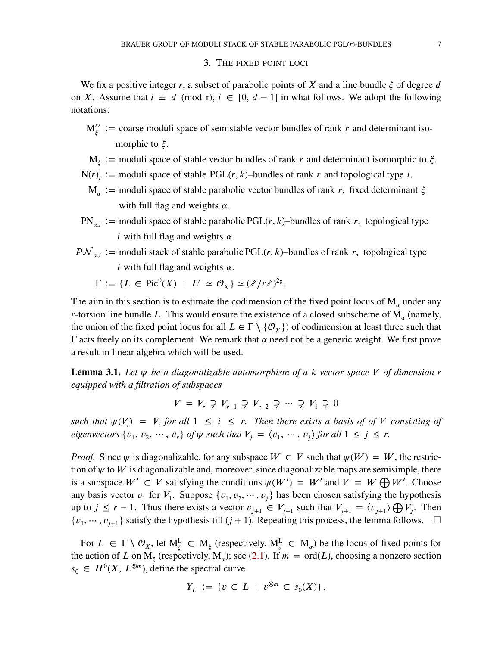### 3. THE FIXED POINT LOCI

We fix a positive integer *r*, a subset of parabolic points of *X* and a line bundle *ξ* of degree *d* on *X*. Assume that  $i \equiv d \pmod{r}$ ,  $i \in [0, d - 1]$  in what follows. We adopt the following notations:

- $M_{\xi}^{ss}$  : = coarse moduli space of semistable vector bundles of rank *r* and determinant isomorphic to  $\xi$ .
- M*<sup>𝜉</sup>* ∶= moduli space of stable vector bundles of rank *𝑟* and determinant isomorphic to *𝜉.*
- N(*r*)<sub>*i*</sub> ∶= moduli space of stable PGL(*r*, *k*)–bundles of rank *r* and topological type *i*,
	- $M_{\alpha}$  := moduli space of stable parabolic vector bundles of rank *r*, fixed determinant ξ with full flag and weights  $\alpha$ .
- PN<sub>*a*i</sub> := moduli space of stable parabolic PGL(*r*, *k*)–bundles of rank *r*, topological type  $\vec{i}$  with full flag and weights  $\alpha$ .
- $\mathcal{PN}_{ai}$  := moduli stack of stable parabolic PGL(*r*, *k*)–bundles of rank *r*, topological type  $i$  with full flag and weights  $\alpha$ .
	- $\Gamma := \{ L \in \text{Pic}^0(X) \mid L^r \simeq \mathcal{O}_X \} \simeq (\mathbb{Z}/r\mathbb{Z})^{2g}.$

The aim in this section is to estimate the codimension of the fixed point locus of  $M_\alpha$  under any *r*-torsion line bundle *L*. This would ensure the existence of a closed subscheme of  $M_\alpha$  (namely, the union of the fixed point locus for all  $L \in \Gamma \setminus \{O_{X}\}\)$  of codimension at least three such that  $Γ$  acts freely on its complement. We remark that  $α$  need not be a generic weight. We first prove a result in linear algebra which will be used.

<span id="page-6-0"></span>**Lemma 3.1.** Let  $\psi$  be a diagonalizable automorphism of a *k*-vector space V of dimension **r** *equipped with a filtration of subspaces*

$$
V = V_r \supsetneq V_{r-1} \supsetneq V_{r-2} \supsetneq \cdots \supsetneq V_1 \supsetneq 0
$$

*such that*  $\psi(V_i) = V_i$  *for all*  $1 \leq i \leq r$ . Then there exists a basis of of V consisting of *eigenvectors*  $\{v_1, v_2, \dots, v_r\}$  *of*  $\psi$  *such that*  $V_j = \langle v_1, \dots, v_j \rangle$  *for all*  $1 \leq j \leq r$ .

*Proof.* Since  $\psi$  is diagonalizable, for any subspace  $W \subset V$  such that  $\psi(W) = W$ , the restriction of  $\psi$  to  $W$  is diagonalizable and, moreover, since diagonalizable maps are semisimple, there is a subspace  $W' \subset V$  satisfying the conditions  $\psi(W') = W'$  and  $V = W \bigoplus W'$ . Choose any basis vector  $v_1$  for  $V_1$ . Suppose  $\{v_1, v_2, \dots, v_j\}$  has been chosen satisfying the hypothesis up to *j* ≤ *r* − 1. Thus there exists a vector  $v_{j+1} \in V_{j+1}$  such that  $V_{j+1} = \langle v_{j+1} \rangle \bigoplus V_j$ . Then  $\{v_1, \dots, v_{j+1}\}$  satisfy the hypothesis till  $(j+1)$ . Repeating this process, the lemma follows.  $\Box$ 

For  $L \in \Gamma \setminus \mathcal{O}_X$ , let  $M_{\xi}^L \subset M_{\xi}$  (respectively,  $M_{\alpha}^L \subset M_{\alpha}$ ) be the locus of fixed points for the action of *L* on  $M_\xi$  (respectively,  $M_\alpha$ ); see [\(2.1\)](#page-5-0). If  $m = \text{ord}(L)$ , choosing a nonzero section  $s_0 \in H^0(X, L^{\otimes m})$ , define the spectral curve

$$
Y_L := \{ v \in L \mid v^{\otimes m} \in s_0(X) \}.
$$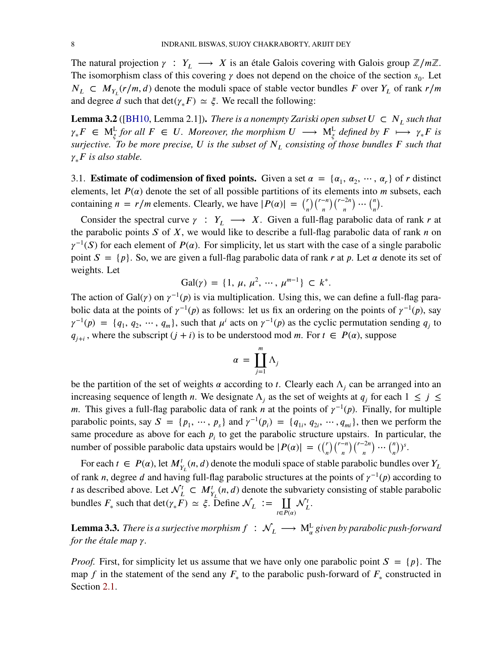The natural projection  $\gamma : Y_L \longrightarrow X$  is an étale Galois covering with Galois group  $\mathbb{Z}/m\mathbb{Z}$ . The isomorphism class of this covering  $\gamma$  does not depend on the choice of the section  $s_0$ . Let  $N_L \subset M_{Y_L}(r/m, d)$  denote the moduli space of stable vector bundles *F* over  $Y_L$  of rank  $r/m$ and degree *d* such that  $\det(\gamma_* F) \simeq \xi$ . We recall the following:

**Lemma 3.2** ([\[BH10,](#page-17-5) Lemma 2.1]). *There is a nonempty Zariski open subset*  $U \subset N_L$  such that  $\gamma_* F \in M_{\xi}^{\mathsf{L}}$  *for all*  $F \in U$ . Moreover, the morphism  $U \longrightarrow M_{\xi}^{\mathsf{L}}$  defined by  $F \longmapsto \gamma_* F$  is *surjective. To be more precise, 𝑈 is the subset of 𝑁<sup>𝐿</sup> consisting of those bundles 𝐹 such that*  $\gamma_* F$  *is also stable.* 

3.1. **Estimate of codimension of fixed points.** Given a set  $\alpha = {\alpha_1, \alpha_2, \cdots, \alpha_r}$  of *r* distinct elements, let  $P(\alpha)$  denote the set of all possible partitions of its elements into *m* subsets, each containing  $n = r/m$  elements. Clearly, we have  $|P(\alpha)| = {r \choose n}$  $\boldsymbol{n}$ )(*<sup>𝑟</sup>*−*<sup>𝑛</sup>*  $\boldsymbol{n}$ )(*<sup>𝑟</sup>*−2*<sup>𝑛</sup>*  $\boldsymbol{n}$  $\cdots$  (<sup>*n*</sup>  $\boldsymbol{n}$ ) *.*

Consider the spectral curve  $\gamma : Y_L \longrightarrow X$ . Given a full-flag parabolic data of rank *r* at the parabolic points *S* of *X*, we would like to describe a full-flag parabolic data of rank *n* on  $\gamma^{-1}(S)$  for each element of *P*( $\alpha$ ). For simplicity, let us start with the case of a single parabolic point  $S = \{p\}$ . So, we are given a full-flag parabolic data of rank *r* at *p*. Let  $\alpha$  denote its set of weights. Let

$$
Gal(\gamma) = \{1, \mu, \mu^2, \cdots, \mu^{m-1}\} \subset k^*.
$$

The action of Gal $(\gamma)$  on  $\gamma^{-1}(p)$  is via multiplication. Using this, we can define a full-flag parabolic data at the points of  $\gamma^{-1}(p)$  as follows: let us fix an ordering on the points of  $\gamma^{-1}(p)$ , say  $\gamma^{-1}(p) = \{q_1, q_2, \cdots, q_m\}$ , such that  $\mu^i$  acts on  $\gamma^{-1}(p)$  as the cyclic permutation sending  $q_j$  to  $q_{j+i}$ , where the subscript  $(j+i)$  is to be understood mod *m*. For  $t \in P(\alpha)$ , suppose

$$
\alpha = \coprod_{j=1}^{m} \Lambda_j
$$

be the partition of the set of weights  $\alpha$  according to *t*. Clearly each  $\Lambda_j$  can be arranged into an increasing sequence of length *n*. We designate  $\Lambda_j$  as the set of weights at  $q_j$  for each  $1 \leq j \leq$ *m*. This gives a full-flag parabolic data of rank *n* at the points of  $\gamma^{-1}(p)$ . Finally, for multiple parabolic points, say  $S = \{p_1, \dots, p_s\}$  and  $\gamma^{-1}(p_i) = \{q_{1i}, q_{2i}, \dots, q_{mi}\}$ , then we perform the same procedure as above for each  $p_i$  to get the parabolic structure upstairs. In particular, the number of possible parabolic data upstairs would be  $|P(\alpha)| = {(\binom{r}{n}}$ )( $r$ <sup>−*n*</sup>  $\boldsymbol{n}$ )(*<sup>𝑟</sup>*−2*<sup>𝑛</sup>*  $\boldsymbol{n}$  $\cdots$ <sup>n</sup>  $\boldsymbol{n}$  $)$ <sup>s</sup>.

For each  $t \in P(\alpha)$ , let  $M^t_{Y_L}(n, d)$  denote the moduli space of stable parabolic bundles over  $Y_L$ of rank *n*, degree *d* and having full-flag parabolic structures at the points of  $\gamma^{-1}(p)$  according to *t* as described above. Let  $\mathcal{N}_L^t \subset M_{Y_L}^t(n, d)$  denote the subvariety consisting of stable parabolic bundles  $F_*$  such that  $\det(\gamma_* F) \simeq \xi$ . Define  $\mathcal{N}_L := \coprod_{t \in P(\alpha)}$  $\mathcal{N}_{L}^{t}.$ 

<span id="page-7-0"></span>**Lemma 3.3.** *There is a surjective morphism*  $f\,:\,\mathcal{N}_L\,\longrightarrow\,\mathbf{M}_\alpha^{\rm L}$  *given by parabolic push-forward for the étale map*  $\gamma$ *.* 

*Proof.* First, for simplicity let us assume that we have only one parabolic point  $S = \{p\}$ . The map *f* in the statement of the send any  $F_*$  to the parabolic push-forward of  $F_*$  constructed in Section [2.1.](#page-4-0)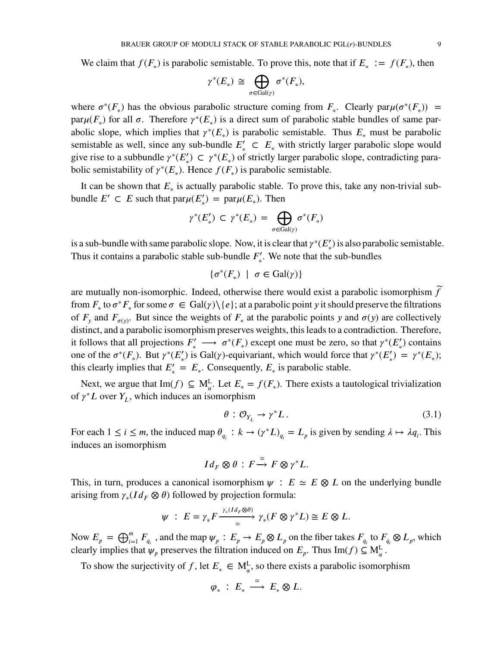We claim that  $f(F_*)$  is parabolic semistable. To prove this, note that if  $E_* := f(F_*)$ , then

$$
\gamma^*(E_*)\,\cong\,\bigoplus_{\sigma\in\mathrm{Gal}(\gamma)}\sigma^*(F_*),
$$

where  $\sigma^*(F_*)$  has the obvious parabolic structure coming from  $F_*$ . Clearly  $\text{par}\mu(\sigma^*(F_*))$  = par $\mu(F_*)$  for all  $\sigma$ . Therefore  $\gamma^*(E_*)$  is a direct sum of parabolic stable bundles of same parabolic slope, which implies that  $\gamma^*(E_*)$  is parabolic semistable. Thus  $E_*$  must be parabolic semistable as well, since any sub-bundle  $E'_{*} \subset E_{*}$  with strictly larger parabolic slope would give rise to a subbundle  $\gamma^*(E'_*) \subset \gamma^*(E_*)$  of strictly larger parabolic slope, contradicting parabolic semistability of  $\gamma^*(E_*)$ . Hence  $f(F_*)$  is parabolic semistable.

It can be shown that  $E_*$  is actually parabolic stable. To prove this, take any non-trivial subbundle  $E' \subset E$  such that  $\text{par}\mu(E'_*) = \text{par}\mu(E_*)$ . Then

$$
\gamma^*(E'_*)\, \subset\, \gamma^*(E_*)\,=\, \bigoplus_{\sigma\in\mathrm{Gal}(\gamma)} \sigma^*(F_*)
$$

is a sub-bundle with same parabolic slope. Now, it is clear that  $\gamma^*(E'_*)$  is also parabolic semistable. Thus it contains a parabolic stable sub-bundle  $F'_{\ast}$ ∗ . We note that the sub-bundles

 $\{\sigma^*(F_*) \mid \sigma \in \text{Gal}(\gamma)\}\$ 

are mutually non-isomorphic. Indeed, otherwise there would exist a parabolic isomorphism  $\tilde{f}$ from  $F_*$  to  $\sigma^* F_*$  for some  $\sigma \in \text{Gal}(\gamma) \setminus \{e\}$ ; at a parabolic point *y* it should preserve the filtrations of  $F_y$  and  $F_{\sigma(y)}$ . But since the weights of  $F_*$  at the parabolic points *y* and  $\sigma(y)$  are collectively distinct, and a parabolic isomorphism preserves weights, this leads to a contradiction. Therefore, it follows that all projections  $F'_* \longrightarrow \sigma^*(F_*)$  except one must be zero, so that  $\gamma^*(E'_*)$  contains one of the  $\sigma^*(F_*)$ . But  $\gamma^*(E'_*)$  is Gal( $\gamma$ )-equivariant, which would force that  $\gamma^*(E'_*) = \gamma^*(E_*)$ ; this clearly implies that  $E'_{*} = E_{*}$ . Consequently,  $E_{*}$  is parabolic stable.

Next, we argue that  $\text{Im}(f) \subseteq M_{\alpha}^{L}$ . Let  $E_{*} = f(F_{*})$ . There exists a tautological trivialization of  $\gamma^* L$  over  $Y_L$ , which induces an isomorphism

<span id="page-8-0"></span>
$$
\theta: \mathcal{O}_{Y_L} \to \gamma^* L. \tag{3.1}
$$

For each  $1 \leq i \leq m$ , the induced map  $\theta_{q_i}: k \to (\gamma^* L)_{q_i} = L_p$  is given by sending  $\lambda \mapsto \lambda q_i$ . This induces an isomorphism

$$
Id_F \otimes \theta : F \xrightarrow{\simeq} F \otimes \gamma^* L.
$$

This, in turn, produces a canonical isomorphism  $\psi$  :  $E \simeq E \otimes L$  on the underlying bundle arising from  $\gamma_*(Id_F \otimes \theta)$  followed by projection formula:

$$
\psi : E = \gamma_* F \xrightarrow{\gamma_* (Id_F \otimes \theta)} \gamma_* (F \otimes \gamma^* L) \cong E \otimes L.
$$

Now  $E_p = \bigoplus_{i=1}^m F_{q_i}$ , and the map  $\psi_p : E_p \to E_p \otimes L_p$  on the fiber takes  $F_{q_i}$  to  $F_{q_i} \otimes L_p$ , which clearly implies that  $\psi_p$  preserves the filtration induced on  $E_p$ . Thus Im(*f*)  $\subseteq M_\alpha^L$ .

To show the surjectivity of *f*, let  $E_* \in M_{\alpha}^L$ , so there exists a parabolic isomorphism

$$
\varphi_*\ :\ E_*\ \stackrel{\simeq}{\longrightarrow}\ E_*\otimes L.
$$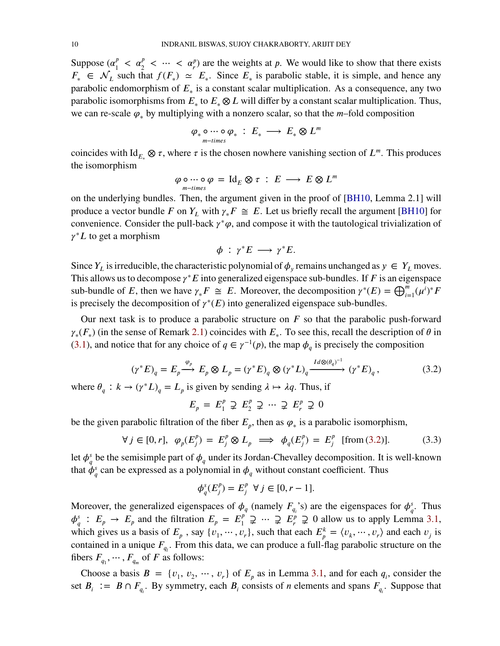Suppose  $(\alpha_1^p)$  $\frac{p}{1} < \alpha_2^p < \cdots < \alpha_r^p$  are the weights at *p*. We would like to show that there exists  $F_* \in \mathcal{N}_L$  such that  $f(F_*) \simeq E_*$ . Since  $E_*$  is parabolic stable, it is simple, and hence any parabolic endomorphism of  $E_*$  is a constant scalar multiplication. As a consequence, any two parabolic isomorphisms from  $E_*$  to  $E_* \otimes L$  will differ by a constant scalar multiplication. Thus, we can re-scale  $\varphi_*$  by multiplying with a nonzero scalar, so that the  $m$ -fold composition

$$
\varphi_* \circ \cdots \circ \varphi_* \; : \; E_* \; \longrightarrow \; E_* \otimes L^m
$$

coincides with Id<sub>*E*</sub>  $\otimes \tau$ , where  $\tau$  is the chosen nowhere vanishing section of  $L^m$ . This produces the isomorphism

$$
\varphi \circ \cdots \circ \varphi = \mathrm{Id}_E \otimes \tau : E \longrightarrow E \otimes L^m
$$

on the underlying bundles. Then, the argument given in the proof of [\[BH10,](#page-17-5) Lemma 2.1] will produce a vector bundle *F* on  $Y_L$  with  $\gamma_* F \cong E$ . Let us briefly recall the argument [\[BH10\]](#page-17-5) for convenience. Consider the pull-back  $\gamma^*\varphi$ , and compose it with the tautological trivialization of *γ*<sup>∗</sup>*L* to get a morphism

<span id="page-9-0"></span>
$$
\phi : \gamma^* E \longrightarrow \gamma^* E.
$$

Since  $Y_L$  is irreducible, the characteristic polynomial of  $\phi_y$  remains unchanged as  $y \in Y_L$  moves. This allows us to decompose  $\gamma^* E$  into generalized eigenspace sub-bundles. If  $F$  is an eigenspace sub-bundle of *E*, then we have  $\gamma_* F \cong E$ . Moreover, the decomposition  $\gamma^*(E) = \bigoplus_{i=1}^m (\mu^i)^* F$ is precisely the decomposition of  $\gamma^*(E)$  into generalized eigenspace sub-bundles.

Our next task is to produce a parabolic structure on *F* so that the parabolic push-forward  $\gamma_*(F_*)$  (in the sense of Remark [2.1\)](#page-4-0) coincides with  $E_*$ . To see this, recall the description of  $\theta$  in [\(3.1\)](#page-8-0), and notice that for any choice of  $q \in \gamma^{-1}(p)$ , the map  $\phi_q$  is precisely the composition

$$
(\gamma^* E)_q = E_p \xrightarrow{\varphi_p} E_p \otimes L_p = (\gamma^* E)_q \otimes (\gamma^* L)_q \xrightarrow{Id \otimes (\theta_q)^{-1}} (\gamma^* E)_q,
$$
\n
$$
(\gamma^* L)_q = I \text{ is given by sending } \text{and in } \mathbb{R}^2 \text{, then if}
$$
\n(3.2)

where  $\theta_q : k \to (\gamma^* L)_q = L_p$  is given by sending  $\lambda \mapsto \lambda q$ . Thus, if

$$
E_p = E_1^p \supsetneq E_2^p \supsetneq \cdots \supsetneq E_r^p \supsetneq 0
$$

be the given parabolic filtration of the fiber  $E_p$ , then as  $\varphi_*$  is a parabolic isomorphism,

$$
\forall j \in [0, r], \varphi_p(E_j^p) = E_j^p \otimes L_p \implies \phi_q(E_j^p) = E_j^p \quad \text{[from (3.2)].}
$$
 (3.3)

let  $\phi^s_a$  $\frac{s}{q}$  be the semisimple part of  $\phi_q$  under its Jordan-Chevalley decomposition. It is well-known that  $\dot{\phi}^s_a$  $\frac{s}{q}$  can be expressed as a polynomial in  $\phi_q$  without constant coefficient. Thus

$$
\phi_q^s(E_j^p) = E_j^p \ \forall \, j \in [0, r-1].
$$

Moreover, the generalized eigenspaces of  $\phi_q$  (namely  $F_{q_i}$ 's) are the eigenspaces for  $\phi_q^s$  $\frac{s}{q}$ . Thus  $\phi^s_a$  $\frac{s}{q}$ :  $E_p \rightarrow E_p$  and the filtration  $E_p = E_1^p$  $\frac{p}{p}$  ⊇ … ⊋  $E_r^p$  ⊋ 0 allow us to apply Lemma [3.1,](#page-6-0) which gives us a basis of  $E_p$ , say  $\{v_1, \dots, v_r\}$ , such that each  $E_p^k = \langle v_k, \dots, v_r \rangle$  and each  $v_j$  is contained in a unique  $F_{q_l}$ . From this data, we can produce a full-flag parabolic structure on the fibers  $F_{q_1}, \dots, F_{q_m}$  of  $F$  as follows:

Choose a basis  $B = \{v_1, v_2, \dots, v_r\}$  of  $E_p$  as in Lemma [3.1,](#page-6-0) and for each  $q_i$ , consider the set  $B_i := B \cap F_{q_i}$ . By symmetry, each  $B_i$  consists of *n* elements and spans  $F_{q_i}$ . Suppose that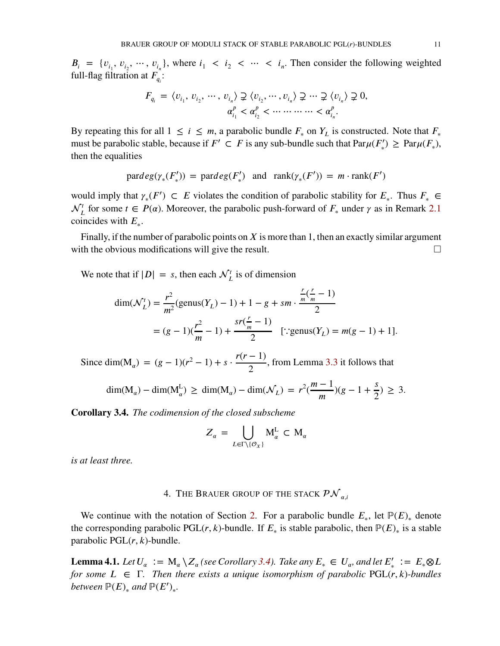$B_i = \{v_{i_1}, v_{i_2}, \dots, v_{i_n}\}\$ , where  $i_1 < i_2 < \dots < i_n$ . Then consider the following weighted full-flag filtration at  $F_{q_i}$ :

$$
F_{q_i} = \langle v_{i_1}, v_{i_2}, \cdots, v_{i_n} \rangle \supsetneq \langle v_{i_2}, \cdots, v_{i_n} \rangle \supsetneq \cdots \supsetneq \langle v_{i_n} \rangle \supsetneq 0,
$$
  

$$
\alpha_{i_1}^p < \alpha_{i_2}^p < \cdots \cdots \cdots \cdots < \alpha_{i_n}^p.
$$

By repeating this for all  $1 \le i \le m$ , a parabolic bundle  $F_*$  on  $Y_L$  is constructed. Note that  $F_*$ must be parabolic stable, because if  $F' \subset F$  is any sub-bundle such that  $\text{Par}\mu(F'_\tau)$  $\Gamma'_{*}$ )  $\geq$  Par $\mu(F_{*}),$ then the equalities

$$
\text{pardeg}(\gamma_*(F'_*)) = \text{pardeg}(F'_*) \text{ and } \text{rank}(\gamma_*(F')) = m \cdot \text{rank}(F')
$$

would imply that  $\gamma_*(F') \subset E$  violates the condition of parabolic stability for  $E_*$ . Thus  $F_* \in$  $\mathcal{N}_L^t$  for some  $t \in P(\alpha)$ . Moreover, the parabolic push-forward of  $F_*$  under  $\gamma$  as in Remark [2.1](#page-4-0) coincides with  $E_*$ .

Finally, if the number of parabolic points on  $X$  is more than 1, then an exactly similar argument with the obvious modifications will give the result.  $\Box$ 

We note that if  $|D| = s$ , then each  $\mathcal{N}_L^t$  is of dimension

$$
\dim(\mathcal{N}_L^t) = \frac{r^2}{m^2} (\text{genus}(Y_L) - 1) + 1 - g + sm \cdot \frac{\frac{r}{m}(\frac{r}{m} - 1)}{2}
$$
  
=  $(g - 1)(\frac{r^2}{m} - 1) + \frac{sr(\frac{r}{m} - 1)}{2}$  [::genus(Y<sub>L</sub>) =  $m(g - 1) + 1]$ .

Since dim(M<sub>a</sub>) =  $(g-1)(r^2-1) + s \cdot \frac{r(r-1)}{2}$ 2 , from Lemma [3.3](#page-7-0) it follows that

$$
\dim(M_{\alpha}) - \dim(M_{\alpha}^{L}) \ge \dim(M_{\alpha}) - \dim(\mathcal{N}_{L}) = r^{2}(\frac{m-1}{m})(g-1+\frac{s}{2}) \ge 3.
$$

<span id="page-10-0"></span>**Corollary 3.4.** *The codimension of the closed subscheme*

$$
Z_{\alpha} = \bigcup_{L \in \Gamma \setminus \{\mathcal{O}_X\}} M_{\alpha}^L \subset M_{\alpha}
$$

*is at least three.*

## 4. THE BRAUER GROUP OF THE STACK  $\mathcal{PN}_{q,i}$

We continue with the notation of Section [2.](#page-2-2) For a parabolic bundle  $E_*$ , let  $\mathbb{P}(E)_*$  denote the corresponding parabolic PGL(*r*, *k*)-bundle. If  $E_*$  is stable parabolic, then  $\mathbb{P}(E)_*$  is a stable parabolic PGL(*r*, *k*)-bundle.

<span id="page-10-1"></span>**Lemma 4.1.** Let  $U_{\alpha} := M_{\alpha} \setminus Z_{\alpha}$  (see Corollary [3.4\)](#page-10-0). Take any  $E_{*} \in U_{\alpha}$ , and let  $E'_{*} := E_{*} \otimes L$ *for some*  $L \in \Gamma$ *. Then there exists a unique isomorphism of parabolic* PGL(*r*, *k*)*-bundles between*  $\mathbb{P}(E)$ <sub>\*</sub> and  $\mathbb{P}(E')$ <sub>\*</sub>.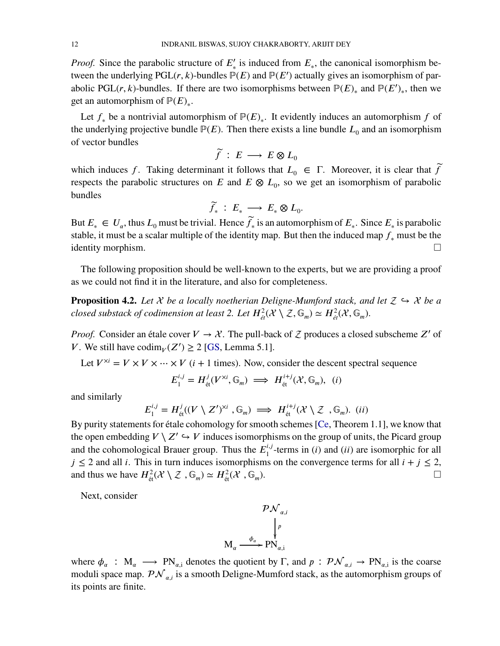*Proof.* Since the parabolic structure of  $E'_{*}$  is induced from  $E_{*}$ , the canonical isomorphism between the underlying  $PGL(r, k)$ -bundles  $P(E)$  and  $P(E')$  actually gives an isomorphism of parabolic PGL(*r*, *k*)-bundles. If there are two isomorphisms between  $\mathbb{P}(E)_{*}$  and  $\mathbb{P}(E')_{*}$ , then we get an automorphism of  $\mathbb{P}(E)_*.$ 

Let  $f_*$  be a nontrivial automorphism of  $\mathbb{P}(E)_*$ . It evidently induces an automorphism  $f$  of the underlying projective bundle  $P(E)$ . Then there exists a line bundle  $L_0$  and an isomorphism of vector bundles

$$
\widetilde{f} \,:\, E \,\longrightarrow\, E \otimes L_0
$$

which induces *f*. Taking determinant it follows that  $L_0 \in \Gamma$ . Moreover, it is clear that  $\widetilde{f}$ respects the parabolic structures on *E* and  $E \otimes L_0$ , so we get an isomorphism of parabolic bundles

$$
\widetilde{f}_* \,:\, E_* \,\longrightarrow\, E_* \otimes L_0.
$$

But  $E_* \in U_\alpha$ , thus  $L_0$  must be trivial. Hence  $\widetilde{f}_*$  is an automorphism of  $E_*$ . Since  $E_*$  is parabolic stable, it must be a scalar multiple of the identity map. But then the induced map *𝑓*<sup>∗</sup> must be the identity morphism.

The following proposition should be well-known to the experts, but we are providing a proof as we could not find it in the literature, and also for completeness.

<span id="page-11-0"></span>**Proposition 4.2.** Let  $\mathcal X$  be a locally noetherian Deligne-Mumford stack, and let  $\mathcal Z \hookrightarrow \mathcal X$  be a *closed substack of codimension at least 2. Let*  $H^2_{\acute{e}t}(\mathcal{X}\setminus\mathcal{Z},\mathbb{G}_m) \simeq H^2_{\acute{e}t}(\mathcal{X},\mathbb{G}_m)$ *.* 

*Proof.* Consider an étale cover  $V \rightarrow \mathcal{X}$ . The pull-back of  $\mathcal{Z}$  produces a closed subscheme  $Z'$  of *V*. We still have  $\text{codim}_V(Z') \geq 2$  [\[GS,](#page-17-10) Lemma 5.1].

Let  $V^{\times i} = V \times V \times \cdots \times V$  (*i* + 1 times). Now, consider the descent spectral sequence

$$
E_1^{i,j} = H^j_{\text{\'et}}(V^{\times i}, \mathbb{G}_m) \implies H^{i+j}_{\text{\'et}}(\mathcal{X}, \mathbb{G}_m), \ (i)
$$

and similarly

$$
E_1^{i,j} = H^j_{\text{\'et}}((V \setminus Z')^{\times i}, \mathbb{G}_m) \implies H^{i+j}_{\text{\'et}}(\mathcal{X} \setminus \mathcal{Z}, \mathbb{G}_m). \text{ (ii)}
$$

By purity statements for étale cohomology for smooth schemes [\[Ce,](#page-17-11) Theorem 1.1], we know that the open embedding  $V \setminus Z' \hookrightarrow V$  induces isomorphisms on the group of units, the Picard group and the cohomological Brauer group. Thus the  $E_1^{i,j}$  $\int_1^{i,j}$ -terms in (*i*) and (*ii*) are isomorphic for all  $j \leq 2$  and all *i*. This in turn induces isomorphisms on the convergence terms for all  $i + j \leq 2$ , and thus we have  $H^2_{\text{\'et}}(\mathcal{X}\setminus\mathcal{Z},\mathbb{G}_m) \simeq H^2_{\text{\'et}}(\mathcal{X},\mathbb{G}_m)$ )*.*

Next, consider

$$
\mathcal{PN}_{\alpha,i} \downarrow^p
$$
  

$$
\downarrow^p
$$
  

$$
M_{\alpha} \xrightarrow{\phi_{\alpha}} PN_{\alpha,i}
$$

where  $\phi_{\alpha} : M_{\alpha} \longrightarrow PN_{\alpha,i}$  denotes the quotient by  $\Gamma$ , and  $p : P\mathcal{N}_{\alpha,i} \to PN_{\alpha,i}$  is the coarse moduli space map.  $\mathcal{PN}_{\alpha,i}$  is a smooth Deligne-Mumford stack, as the automorphism groups of its points are finite.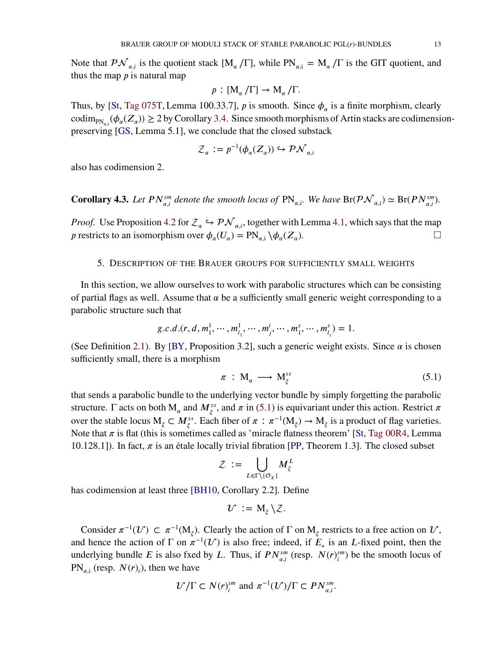Note that  $\mathcal{PN}_{\alpha,i}$  is the quotient stack  $[M_{\alpha}/\Gamma]$ , while  $PN_{\alpha,i} = M_{\alpha}/\Gamma$  is the GIT quotient, and thus the map  *is natural map* 

$$
p: [\mathrm{M}_{\alpha}/\Gamma] \to \mathrm{M}_{\alpha}/\Gamma.
$$

Thus, by [\[St,](#page-17-12) [Tag 075T,](https://stacks.math.columbia.edu/tag/075T) Lemma 100.33.7],  $p$  is smooth. Since  $\phi_{\alpha}$  is a finite morphism, clearly  $\text{codim}_{\text{PN}_{\alpha,i}}(\phi_\alpha(Z_\alpha)) \geq 2$  by Corollary [3.4.](#page-10-0) Since smooth morphisms of Artin stacks are codimensionpreserving [\[GS,](#page-17-10) Lemma 5.1], we conclude that the closed substack

$$
\mathcal{Z}_{\alpha} := p^{-1}(\phi_{\alpha}(Z_{\alpha})) \hookrightarrow \mathcal{PN}_{\alpha,i}
$$

also has codimension 2.

<span id="page-12-0"></span>**Corollary 4.3.** Let  $PN_{\alpha,i}^{sm}$  denote the smooth locus of  $PN_{\alpha,i}$ . We have  $\text{Br}(\mathcal{PN}_{\alpha,i}^{\alpha}) \simeq \text{Br}(PN_{\alpha,i}^{sm})$ .

*Proof.* Use Proposition [4.2](#page-11-0) for  $\mathcal{Z}_\alpha \hookrightarrow \mathcal{PN}_{\alpha,i}$ , together with Lemma [4.1,](#page-10-1) which says that the map *p* restricts to an isomorphism over  $\phi_{\alpha}(U_{\alpha}) = \text{PN}_{\alpha,i} \setminus \phi_{\alpha}(Z_{\alpha})$ ).  $\qquad \qquad \Box$ 

#### 5. DESCRIPTION OF THE BRAUER GROUPS FOR SUFFICIENTLY SMALL WEIGHTS

In this section, we allow ourselves to work with parabolic structures which can be consisting of partial flags as well. Assume that  $\alpha$  be a sufficiently small generic weight corresponding to a parabolic structure such that

$$
g.c.d.(r, d, m_1^1, \cdots, m_{l_1}^1, \cdots, m_j^i, \cdots, m_1^s, \cdots, m_{l_s}^s) = 1.
$$

(See Definition [2.1\)](#page-3-0). By [\[BY,](#page-17-8) Proposition 3.2], such a generic weight exists. Since  $\alpha$  is chosen sufficiently small, there is a morphism

<span id="page-12-1"></span>
$$
\pi \, : \, \mathrm{M}_{\alpha} \, \longrightarrow \, \mathrm{M}_{\xi}^{ss} \tag{5.1}
$$

that sends a parabolic bundle to the underlying vector bundle by simply forgetting the parabolic structure.  $\Gamma$  acts on both  $M_\alpha$  and  $M_\xi^{ss}$ , and  $\pi$  in [\(5.1\)](#page-12-1) is equivariant under this action. Restrict  $\pi$ over the stable locus  $M_{\xi} \subset M_{\xi}^{ss}$ . Each fiber of  $\pi : \pi^{-1}(M_{\xi}) \to M_{\xi}$  is a product of flag varieties. Note that  $\pi$  is flat (this is sometimes called as 'miracle flatness theorem' [\[St,](#page-17-12) [Tag 00R4,](https://stacks.math.columbia.edu/tag/00R4) Lemma 10.128.1]). In fact,  $\pi$  is an étale locally trivial fibration [\[PP,](#page-17-13) Theorem 1.3]. The closed subset

$$
\mathcal{Z} \; := \; \bigcup_{L \in \Gamma \backslash \{\mathcal{O}_X\}} M^L_{\xi}
$$

has codimension at least three [\[BH10,](#page-17-5) Corollary 2.2]. Define

$$
\mathcal{U} := \mathrm{M}_{\xi} \setminus \mathcal{Z}.
$$

Consider  $\pi^{-1}(U) \subset \pi^{-1}(M_{\xi})$ . Clearly the action of  $\Gamma$  on  $M_{\xi}$  restricts to a free action on  $U$ , and hence the action of  $\Gamma$  on  $\pi^{-1}(U)$  is also free; indeed, if  $E_*$  is an *L*-fixed point, then the underlying bundle *E* is also fxed by *L*. Thus, if  $PN_{\alpha,i}^{sm}$  (resp.  $N(r)_{i}^{sm}$  $\binom{sm}{i}$  be the smooth locus of  $PN_{\alpha,i}$  (resp.  $N(r)_i$ ), then we have

$$
\mathcal{U}/\Gamma \subset N(r)_{i}^{sm}
$$
 and  $\pi^{-1}(\mathcal{U})/\Gamma \subset PN_{\alpha,i}^{sm}$ .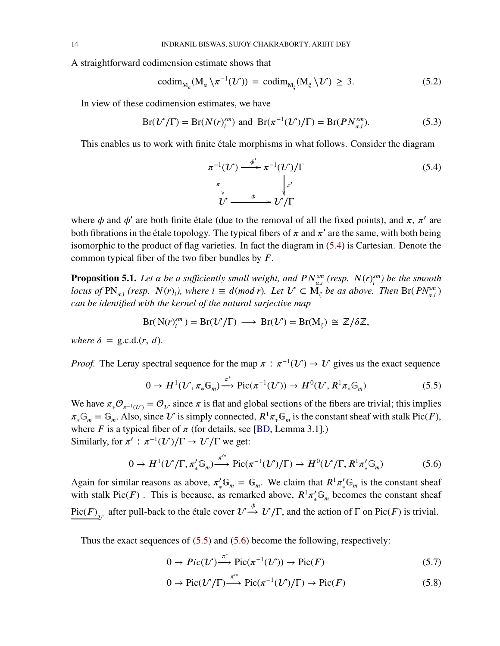A straightforward codimension estimate shows that

$$
\mathrm{codim}_{\mathrm{M}_{\alpha}}(\mathrm{M}_{\alpha}\backslash\pi^{-1}(\mathcal{U})) = \mathrm{codim}_{\mathrm{M}_{\xi}}(\mathrm{M}_{\xi}\backslash\mathcal{U}) \geq 3. \tag{5.2}
$$

In view of these codimension estimates, we have

$$
Br(\mathcal{U}/\Gamma) = Br(N(r)_{i}^{sm}) \text{ and } Br(\pi^{-1}(\mathcal{U})/\Gamma) = Br(PN_{\alpha,i}^{sm}).
$$
\n(5.3)

This enables us to work with finite étale morphisms in what follows. Consider the diagram

<span id="page-13-5"></span><span id="page-13-4"></span><span id="page-13-1"></span>
$$
\pi^{-1}(U) \xrightarrow{\phi'} \pi^{-1}(U)/\Gamma
$$
\n
$$
\pi \downarrow \qquad \qquad \downarrow \pi'
$$
\n
$$
U \xrightarrow{\phi} U/\Gamma
$$
\n(5.4)

where  $\phi$  and  $\phi'$  are both finite étale (due to the removal of all the fixed points), and  $\pi$ ,  $\pi'$  are both fibrations in the étale topology. The typical fibers of  $\pi$  and  $\pi'$  are the same, with both being isomorphic to the product of flag varieties. In fact the diagram in [\(5.4\)](#page-13-1) is Cartesian. Denote the common typical fiber of the two fiber bundles by *F*.

<span id="page-13-0"></span>**Proposition 5.1.** *Let*  $\alpha$  *be a sufficiently small weight, and*  $PN_{\alpha,i}^{sm}$  (resp.  $N(r)_{i}^{sm}$ *𝑖 ) be the smooth locus of*  $\text{PN}_{\alpha,i}$  (resp.  $N(r)_i$ ), where  $i \equiv d \pmod{r}$ . Let  $\mathcal{U} \subset \overline{M}_{\xi}$  be as above. Then  $\text{Br}(PN_{\alpha,i}^{\text{sm}})$ *can be identified with the kernel of the natural surjective map*

$$
Br(N(r)ism) = Br(\mathcal{U}/\Gamma) \longrightarrow Br(\mathcal{U}) = Br(M\xi) \cong \mathbb{Z}/\delta\mathbb{Z},
$$

*where*  $\delta =$  g.c.d.(*r*, *d*).

*Proof.* The Leray spectral sequence for the map  $\pi$  :  $\pi^{-1}(U) \to U$  gives us the exact sequence

<span id="page-13-2"></span>
$$
0 \to H^1(\mathcal{U}, \pi_* \mathbb{G}_m) \xrightarrow{\pi^*} \text{Pic}(\pi^{-1}(\mathcal{U})) \to H^0(\mathcal{U}, R^1 \pi_* \mathbb{G}_m)
$$
(5.5)

We have  $\pi_* \mathcal{O}_{\pi^{-1}(\mathcal{U})} = \mathcal{O}_{\mathcal{U}}$  since  $\pi$  is flat and global sections of the fibers are trivial; this implies  $\pi_* \mathbb{G}_m = \mathbb{G}_m$ . Also, since  $\mathcal U$  is simply connected,  $R^1 \pi_* \mathbb{G}_m$  is the constant sheaf with stalk Pic(*F*), where  $F$  is a typical fiber of  $\pi$  (for details, see [\[BD,](#page-17-3) Lemma 3.1].) Similarly, for  $\pi'$  :  $\pi^{-1}(U')/\Gamma \to U'/\Gamma$  we get:

$$
0 \to H^1(\mathcal{U}/\Gamma, \pi'_*\mathbb{G}_m) \xrightarrow{\pi'^*} \mathrm{Pic}(\pi^{-1}(\mathcal{U})/\Gamma) \to H^0(\mathcal{U}/\Gamma, R^1\pi'_*\mathbb{G}_m)
$$
(5.6)

Again for similar reasons as above,  $\pi'_*\mathbb{G}_m = \mathbb{G}_m$ . We claim that  $R^1\pi'_*\mathbb{G}_m$  is the constant sheaf with stalk Pic(*F*). This is because, as remarked above,  $R^1 \pi_*^{\prime} \mathbb{G}_m$  becomes the constant sheaf  $Pic(F)_{\stackrel{\circ}{\mathcal{U}}}$  after pull-back to the étale cover  $\mathcal{U} \stackrel{\phi}{\rightarrow} \mathcal{U}/\Gamma$ , and the action of  $\Gamma$  on Pic(*F*) is trivial.

Thus the exact sequences of [\(5.5\)](#page-13-2) and [\(5.6\)](#page-13-3) become the following, respectively:

<span id="page-13-3"></span>
$$
0 \to Pic(\mathcal{U}) \xrightarrow{\pi^*} Pic(\pi^{-1}(\mathcal{U})) \to Pic(F)
$$
 (5.7)

$$
0 \to Pic(\mathcal{U}/\Gamma) \xrightarrow{\pi'^*} Pic(\pi^{-1}(\mathcal{U})/\Gamma) \to Pic(F)
$$
 (5.8)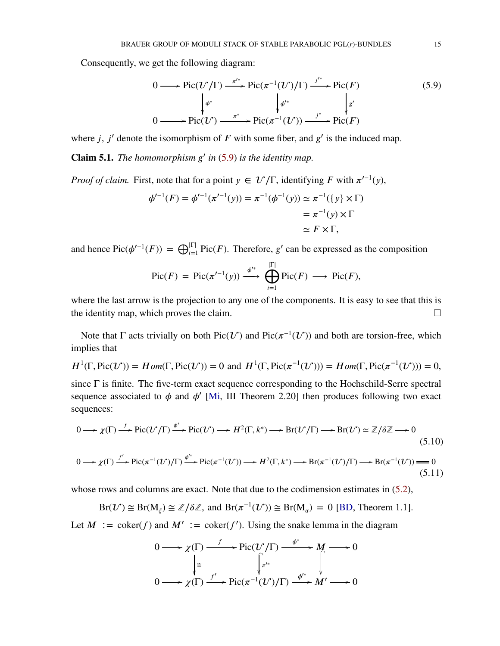Consequently, we get the following diagram:

<span id="page-14-0"></span>
$$
0 \longrightarrow Pic(\mathcal{U}/\Gamma) \xrightarrow{\pi'^*} Pic(\pi^{-1}(\mathcal{U})/\Gamma) \xrightarrow{j'^*} Pic(F)
$$
  
\n
$$
\downarrow{\phi^*} \qquad \qquad \downarrow{\phi'^*} \qquad \qquad \downarrow{\mathbf{g'}}
$$
  
\n
$$
0 \longrightarrow Pic(\mathcal{U}) \xrightarrow{\pi^*} Pic(\pi^{-1}(\mathcal{U})) \xrightarrow{j^*} Pic(F)
$$
\n
$$
(5.9)
$$

where  $j$ ,  $j'$  denote the isomorphism of  $F$  with some fiber, and  $g'$  is the induced map.

<span id="page-14-1"></span>**Claim 5.1.** *The homomorphism*  $g'$  *in* [\(5.9\)](#page-14-0) *is the identity map.* 

*Proof of claim.* First, note that for a point  $y \in \mathcal{U}/\Gamma$ , identifying F with  $\pi'^{-1}(y)$ ,

$$
\phi'^{-1}(F) = \phi'^{-1}(\pi'^{-1}(y)) = \pi^{-1}(\phi^{-1}(y)) \simeq \pi^{-1}(\{y\} \times \Gamma)
$$
  
=  $\pi^{-1}(y) \times \Gamma$   
 $\simeq F \times \Gamma$ ,

and hence  $Pic(\phi'^{-1}(F)) = \bigoplus_{i=1}^{|\Gamma|} Pic(F)$ . Therefore, *g'* can be expressed as the composition

$$
\text{Pic}(F) = \text{Pic}(\pi'^{-1}(y)) \xrightarrow{\phi'^*} \bigoplus_{i=1}^{|\Gamma|} \text{Pic}(F) \longrightarrow \text{Pic}(F),
$$

where the last arrow is the projection to any one of the components. It is easy to see that this is the identity map, which proves the claim.  $\Box$ 

Note that  $\Gamma$  acts trivially on both Pic( $\mathcal{U}$ ) and Pic( $\pi^{-1}(\mathcal{U})$ ) and both are torsion-free, which implies that

$$
H^1(\Gamma, \text{Pic}(\mathcal{U})) = Hom(\Gamma, \text{Pic}(\mathcal{U})) = 0 \text{ and } H^1(\Gamma, \text{Pic}(\pi^{-1}(\mathcal{U}))) = Hom(\Gamma, \text{Pic}(\pi^{-1}(\mathcal{U}))) = 0,
$$

since Γ is finite. The five-term exact sequence corresponding to the Hochschild-Serre spectral sequence associated to  $\phi$  and  $\phi'$  [\[Mi,](#page-17-14) III Theorem 2.20] then produces following two exact sequences:

$$
0 \longrightarrow \chi(\Gamma) \xrightarrow{f} \text{Pic}(\mathcal{U}/\Gamma) \xrightarrow{\phi^*} \text{Pic}(\mathcal{U}) \longrightarrow H^2(\Gamma, k^*) \longrightarrow \text{Br}(\mathcal{U}/\Gamma) \longrightarrow \text{Br}(\mathcal{U}) \simeq \mathbb{Z}/\delta\mathbb{Z} \longrightarrow 0
$$
\n(5.10)

$$
0 \longrightarrow \chi(\Gamma) \xrightarrow{f'} \text{Pic}(\pi^{-1}(\mathcal{U})/\Gamma) \xrightarrow{\phi'^*} \text{Pic}(\pi^{-1}(\mathcal{U})) \longrightarrow H^2(\Gamma, k^*) \longrightarrow \text{Br}(\pi^{-1}(\mathcal{U})/\Gamma) \longrightarrow \text{Br}(\pi^{-1}(\mathcal{U})) \longrightarrow 0
$$
\n(5.11)

whose rows and columns are exact. Note that due to the codimension estimates in [\(5.2\)](#page-13-4),

$$
Br(\mathcal{U}) \cong Br(M_{\xi}) \cong \mathbb{Z}/\delta\mathbb{Z}
$$
, and  $Br(\pi^{-1}(\mathcal{U})) \cong Br(M_{\alpha}) = 0$  [BD, Theorem 1.1].

Let  $M := \text{coker}(f)$  and  $M' := \text{coker}(f')$ . Using the snake lemma in the diagram

<span id="page-14-3"></span><span id="page-14-2"></span>
$$
0 \longrightarrow \chi(\Gamma) \xrightarrow{f} \text{Pic}(\mathcal{U}/\Gamma) \xrightarrow{\phi^*} M \longrightarrow 0
$$
  
\n
$$
\downarrow \cong \qquad \qquad \downarrow \pi'^* \qquad \qquad \downarrow
$$
  
\n
$$
0 \longrightarrow \chi(\Gamma) \xrightarrow{f'} \text{Pic}(\pi^{-1}(\mathcal{U})/\Gamma) \xrightarrow{\phi'^*} M' \longrightarrow 0
$$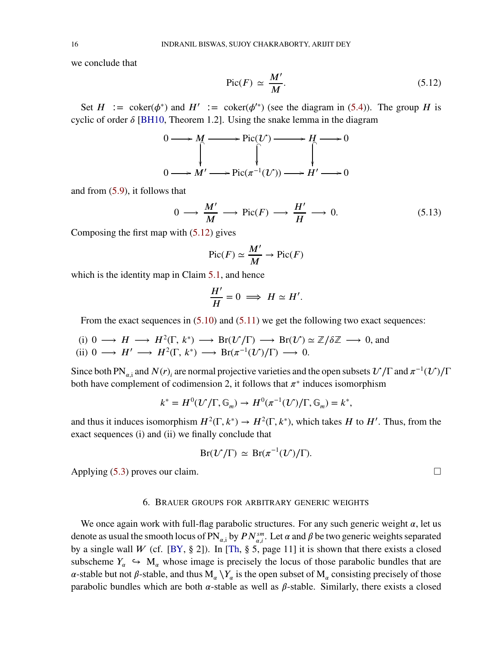we conclude that

<span id="page-15-0"></span>
$$
\text{Pic}(F) \simeq \frac{M'}{M}.\tag{5.12}
$$

Set  $H := \text{coker}(\phi^*)$  and  $H' := \text{coker}(\phi'^*)$  (see the diagram in [\(5.4\)](#page-13-1)). The group *H* is cyclic of order  $\delta$  [\[BH10,](#page-17-5) Theorem 1.2]. Using the snake lemma in the diagram

$$
0 \longrightarrow M \longrightarrow Pic(\mathcal{U}) \longrightarrow H \longrightarrow 0
$$
  

$$
0 \longrightarrow M' \longrightarrow Pic(\pi^{-1}(\mathcal{U})) \longrightarrow H' \longrightarrow 0
$$

and from [\(5.9\)](#page-14-0), it follows that

$$
0 \longrightarrow \frac{M'}{M} \longrightarrow Pic(F) \longrightarrow \frac{H'}{H} \longrightarrow 0. \tag{5.13}
$$

Composing the first map with  $(5.12)$  gives

$$
\text{Pic}(F) \simeq \frac{M'}{M} \to \text{Pic}(F)
$$

which is the identity map in Claim [5.1,](#page-14-1) and hence

$$
\frac{H'}{H} = 0 \implies H \simeq H'.
$$

From the exact sequences in  $(5.10)$  and  $(5.11)$  we get the following two exact sequences:

(i)  $0 \longrightarrow H \longrightarrow H^2(\Gamma, k^*) \longrightarrow Br(\mathcal{U}/\Gamma) \longrightarrow Br(\mathcal{U}) \simeq \mathbb{Z}/\delta\mathbb{Z} \longrightarrow 0$ , and (ii)  $0 \longrightarrow H' \longrightarrow H^2(\Gamma, k^*) \longrightarrow \text{Br}(\pi^{-1}(\mathcal{U})/\Gamma) \longrightarrow 0.$ 

Since both PN<sub> $\alpha$ ,i</sub> and  $N(r)$ <sub>i</sub> are normal projective varieties and the open subsets  $\mathcal{U}/\Gamma$  and  $\pi^{-1}(\mathcal{U})/\Gamma$ both have complement of codimension 2, it follows that  $\pi^*$  induces isomorphism

$$
k^* = H^0(\mathcal{U}/\Gamma, \mathbb{G}_m) \to H^0(\pi^{-1}(\mathcal{U})/\Gamma, \mathbb{G}_m) = k^*,
$$

and thus it induces isomorphism  $H^2(\Gamma, k^*) \to H^2(\Gamma, k^*)$ , which takes *H* to *H'*. Thus, from the exact sequences (i) and (ii) we finally conclude that

$$
Br(\mathcal{U}/\Gamma) \simeq Br(\pi^{-1}(\mathcal{U})/\Gamma).
$$

Applying [\(5.3\)](#page-13-5) proves our claim.  $\square$ 

### 6. BRAUER GROUPS FOR ARBITRARY GENERIC WEIGHTS

We once again work with full-flag parabolic structures. For any such generic weight  $\alpha$ , let us denote as usual the smooth locus of  $PN_{\alpha,i}$  by  $PN_{\alpha,i}^{sm}$ . Let  $\alpha$  and  $\beta$  be two generic weights separated by a single wall *W* (cf. [\[BY,](#page-17-8)  $\S$  2]). In [\[Th,](#page-17-6)  $\S$  5, page 11] it is shown that there exists a closed subscheme  $Y_\alpha \hookrightarrow M_\alpha$  whose image is precisely the locus of those parabolic bundles that are  $\alpha$ -stable but not  $\beta$ -stable, and thus  $M_\alpha \setminus Y_\alpha$  is the open subset of  $M_\alpha$  consisting precisely of those parabolic bundles which are both  $\alpha$ -stable as well as  $\beta$ -stable. Similarly, there exists a closed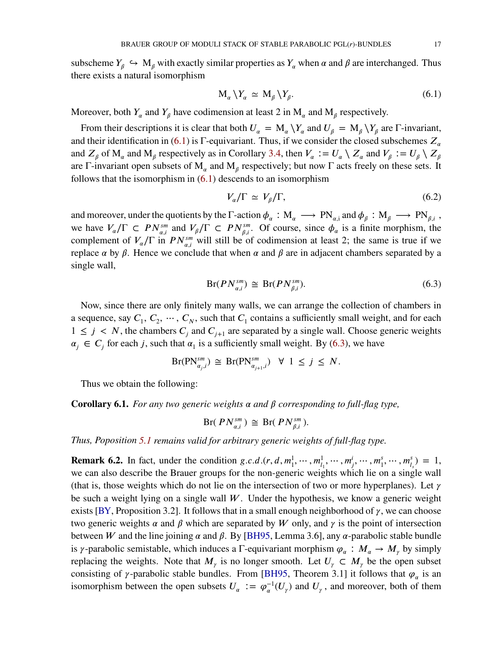subscheme  $Y_\beta \hookrightarrow M_\beta$  with exactly similar properties as  $Y_\alpha$  when  $\alpha$  and  $\beta$  are interchanged. Thus there exists a natural isomorphism

<span id="page-16-1"></span>
$$
M_{\alpha} \setminus Y_{\alpha} \simeq M_{\beta} \setminus Y_{\beta}. \tag{6.1}
$$

Moreover, both  $Y_\alpha$  and  $Y_\beta$  have codimension at least 2 in  $M_\alpha$  and  $M_\beta$  respectively.

From their descriptions it is clear that both  $U_{\alpha} = M_{\alpha} \setminus Y_{\alpha}$  and  $U_{\beta} = M_{\beta} \setminus Y_{\beta}$  are  $\Gamma$ -invariant, and their identification in [\(6.1\)](#page-16-1) is  $\Gamma$ -equivariant. Thus, if we consider the closed subschemes  $Z_{\alpha}$ and  $Z_{\beta}$  of  $M_{\alpha}$  and  $M_{\beta}$  respectively as in Corollary [3.4,](#page-10-0) then  $V_{\alpha} := U_{\alpha} \setminus Z_{\alpha}$  and  $V_{\beta} := U_{\beta} \setminus Z_{\beta}$ are Γ-invariant open subsets of  $M_{\alpha}$  and  $M_{\beta}$  respectively; but now Γ acts freely on these sets. It follows that the isomorphism in  $(6.1)$  descends to an isomorphism

<span id="page-16-2"></span>
$$
V_{\alpha}/\Gamma \simeq V_{\beta}/\Gamma,\tag{6.2}
$$

and moreover, under the quotients by the  $\Gamma$ -action  $\phi_\alpha : M_\alpha \longrightarrow PN_{\alpha,i}$  and  $\phi_\beta : M_\beta \longrightarrow PN_{\beta,i}$ , we have  $V_{\alpha}/\Gamma \subset PN_{\alpha,i}^{sm}$  and  $V_{\beta}/\Gamma \subset PN_{\beta,i}^{sm}$ . Of course, since  $\phi_{\alpha}$  is a finite morphism, the complement of  $V_{\alpha}/\Gamma$  in  $PN_{\alpha,i}^{sm}$  will still be of codimension at least 2; the same is true if we replace  $\alpha$  by  $\beta$ . Hence we conclude that when  $\alpha$  and  $\beta$  are in adjacent chambers separated by a single wall,

$$
Br(PN_{\alpha,i}^{sm}) \cong Br(PN_{\beta,i}^{sm}). \tag{6.3}
$$

Now, since there are only finitely many walls, we can arrange the collection of chambers in a sequence, say  $C_1, C_2, \dots, C_N$ , such that  $C_1$  contains a sufficiently small weight, and for each  $1 \leq j \leq N$ , the chambers  $C_j$  and  $C_{j+1}$  are separated by a single wall. Choose generic weights  $\alpha_j \in C_j$  for each *j*, such that  $\alpha_1$  is a sufficiently small weight. By [\(6.3\)](#page-16-2), we have

$$
\text{Br}(\text{PN}^{sm}_{\alpha_j,i}) \cong \text{Br}(\text{PN}^{sm}_{\alpha_{j+1},i}) \quad \forall \ 1 \leq j \leq N.
$$

Thus we obtain the following:

**Corollary 6.1.** For any two generic weights  $\alpha$  and  $\beta$  corresponding to full-flag type,

$$
Br(PN_{\alpha,i}^{sm}) \cong Br(PN_{\beta,i}^{sm}).
$$

*Thus, Poposition [5.1](#page-13-0) remains valid for arbitrary generic weights of full-flag type.*

<span id="page-16-0"></span>**Remark 6.2.** In fact, under the condition  $g.c.d.(r, d, m_1^1, \dots, m_{l_1}^1, \dots, m_j^i, \dots, m_1^s, \dots, m_{l_s}^s) = 1$ , we can also describe the Brauer groups for the non-generic weights which lie on a single wall (that is, those weights which do not lie on the intersection of two or more hyperplanes). Let  $\gamma$ be such a weight lying on a single wall  $W$ . Under the hypothesis, we know a generic weight exists [\[BY,](#page-17-8) Proposition 3.2]. It follows that in a small enough neighborhood of  $\gamma$ , we can choose two generic weights  $\alpha$  and  $\beta$  which are separated by W only, and  $\gamma$  is the point of intersection between *W* and the line joining  $\alpha$  and  $\beta$ . By [\[BH95,](#page-17-15) Lemma 3.6], any  $\alpha$ -parabolic stable bundle is *γ*-parabolic semistable, which induces a Γ-equivariant morphism  $\varphi_{\alpha}: M_{\alpha} \to M_{\gamma}$  by simply replacing the weights. Note that  $M_{\gamma}$  is no longer smooth. Let  $U_{\gamma} \subset M_{\gamma}$  be the open subset consisting of  $\gamma$ -parabolic stable bundles. From [\[BH95,](#page-17-15) Theorem 3.1] it follows that  $\varphi_{\alpha}$  is an isomorphism between the open subsets  $U_{\alpha} := \varphi_{\alpha}^{-1}$  $\sigma_{\alpha}^{-1}(U_{\gamma})$  and  $U_{\gamma}$ , and moreover, both of them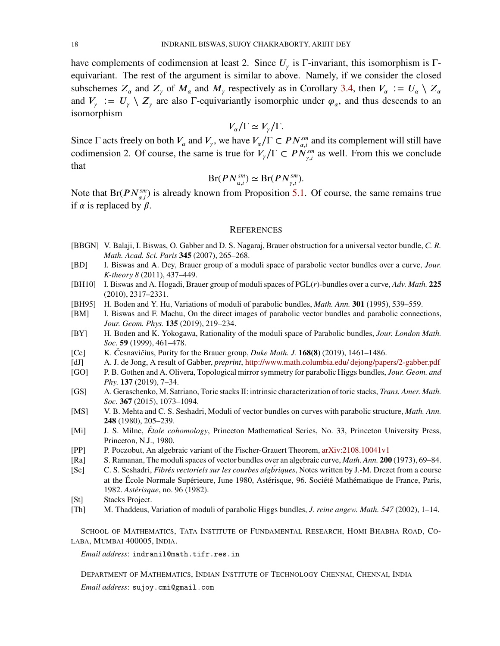have complements of codimension at least 2. Since  $U_{\gamma}$  is  $\Gamma$ -invariant, this isomorphism is  $\Gamma$ equivariant. The rest of the argument is similar to above. Namely, if we consider the closed subschemes  $Z_{\alpha}$  and  $Z_{\gamma}$  of  $M_{\alpha}$  and  $M_{\gamma}$  respectively as in Corollary [3.4,](#page-10-0) then  $V_{\alpha} := U_{\alpha} \setminus Z_{\alpha}$ and  $V_{\gamma} := U_{\gamma} \setminus Z_{\gamma}$  are also  $\Gamma$ -equivariantly isomorphic under  $\varphi_{\alpha}$ , and thus descends to an isomorphism

$$
V_{\alpha}/\Gamma \simeq V_{\gamma}/\Gamma.
$$

Since  $\Gamma$  acts freely on both  $V_{\alpha}$  and  $V_{\gamma}$ , we have  $V_{\alpha}/\Gamma \subset PN_{\alpha,i}^{sm}$  and its complement will still have codimension 2. Of course, the same is true for  $V_{\gamma}/\Gamma \subset PN_{\gamma,i}^{sm}$  as well. From this we conclude that

$$
Br(PN_{\alpha,i}^{sm}) \simeq Br(PN_{\gamma,i}^{sm}).
$$

Note that Br( $PN_{\alpha,i}^{sm}$ ) is already known from Proposition [5.1.](#page-13-0) Of course, the same remains true if  $\alpha$  is replaced by  $\beta$ .

#### **REFERENCES**

- <span id="page-17-1"></span>[BBGN] V. Balaji, I. Biswas, O. Gabber and D. S. Nagaraj, Brauer obstruction for a universal vector bundle, *C. R. Math. Acad. Sci. Paris* **345** (2007), 265–268.
- <span id="page-17-3"></span>[BD] I. Biswas and A. Dey, Brauer group of a moduli space of parabolic vector bundles over a curve, *Jour. K-theory 8* (2011), 437–449.
- <span id="page-17-5"></span>[BH10] I. Biswas and A. Hogadi, Brauer group of moduli spaces of PGL(*𝑟*)-bundles over a curve, *Adv. Math.* **225** (2010), 2317–2331.
- <span id="page-17-15"></span>[BH95] H. Boden and Y. Hu, Variations of moduli of parabolic bundles, *Math. Ann.* **301** (1995), 539–559.
- <span id="page-17-9"></span>[BM] I. Biswas and F. Machu, On the direct images of parabolic vector bundles and parabolic connections, *Jour. Geom. Phys.* **135** (2019), 219–234.
- <span id="page-17-8"></span>[BY] H. Boden and K. Yokogawa, Rationality of the moduli space of Parabolic bundles, *Jour. London Math. Soc.* **59** (1999), 461–478.
- <span id="page-17-11"></span>[Ce] K. *𝐶̌*esnavi*̌𝑐*ius, Purity for the Brauer group, *Duke Math. J.* **168(8)** (2019), 1461–1486.
- <span id="page-17-0"></span>[dJ] A. J. de Jong, A result of Gabber, *preprint*, [http://www.math.columbia.edu/ dejong/papers/2-gabber.pdf](http://www.math.columbia.edu/~dejong/papers/2-gabber.pdf)
- <span id="page-17-4"></span>[GO] P. B. Gothen and A. Olivera, Topological mirror symmetry for parabolic Higgs bundles, *Jour. Geom. and Phy.* **137** (2019), 7–34.
- <span id="page-17-10"></span>[GS] A. Geraschenko, M. Satriano, Toric stacks II: intrinsic characterization of toric stacks, *Trans. Amer. Math. Soc.* **367** (2015), 1073–1094.
- <span id="page-17-2"></span>[MS] V. B. Mehta and C. S. Seshadri, Moduli of vector bundles on curves with parabolic structure, *Math. Ann.* **248** (1980), 205–239.
- <span id="page-17-14"></span>[Mi] J. S. Milne, *Étale cohomology*, Princeton Mathematical Series, No. 33, Princeton University Press, Princeton, N.J., 1980.
- <span id="page-17-13"></span>[PP] P. Poczobut, An algebraic variant of the Fischer-Grauert Theorem, [arXiv:2108.10041v1](https://arxiv.org/abs/2108.10041#:~:text=A%20well%2Dknown%20theorem%20of,complex%20manifold%20are%20locally%20trivial.)
- [Ra] S. Ramanan, The moduli spaces of vector bundles over an algebraic curve, *Math. Ann.* **200** (1973), 69–84.
- <span id="page-17-7"></span>[Se] C. S. Seshadri, *Fibrés vectoriels sur les courbes algbriques ´* , Notes written by J.-M. Drezet from a course at the École Normale Supérieure, June 1980, Astérisque, 96. Société Mathématique de France, Paris, 1982. *Astérisque*, no. 96 (1982).
- <span id="page-17-12"></span>[St] Stacks Project.
- <span id="page-17-6"></span>[Th] M. Thaddeus, Variation of moduli of parabolic Higgs bundles, *J. reine angew. Math. 547* (2002), 1–14.

SCHOOL OF MATHEMATICS, TATA INSTITUTE OF FUNDAMENTAL RESEARCH, HOMI BHABHA ROAD, CO-LABA, MUMBAI 400005, INDIA.

*Email address*: indranil@math.tifr.res.in

DEPARTMENT OF MATHEMATICS, INDIAN INSTITUTE OF TECHNOLOGY CHENNAI, CHENNAI, INDIA *Email address*: sujoy.cmi@gmail.com